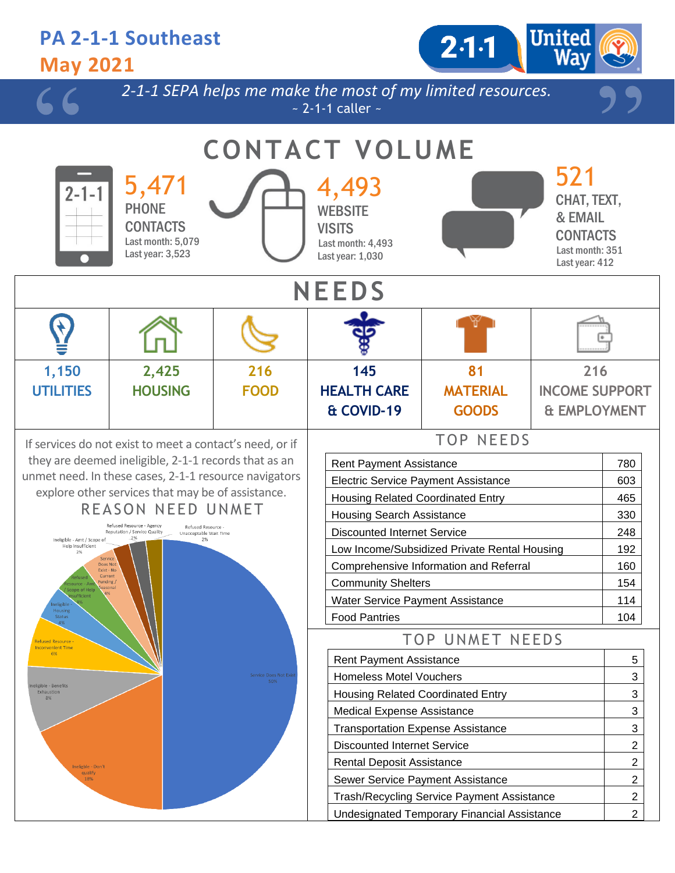#### **PA 2-1-1 Southeast**  $2.1 - 1$ **May 2021** *2-1-1 SEPA helps me make the most of my limited resources.*  $\sim$  2-1-1 caller  $\sim$ **CONTACT VOLUME** 521 5,471 4,493 2-1-CHAT, TEXT, PHONE **WEBSITE** & EMAIL **CONTACTS VISITS** CONTACTS Last month: 5,079 Last month: 4,493 Last month: 351 Last year: 3,523 Last year: 1,030 Last year: 412 **NEEDS 1,150 2,425 145 216 81 216 UTILITIES HOUSING FOOD MATERIAL INCOME SUPPORT HEALTH CARE & COVID-19 GOODS & EMPLOYMENT** TOP NEEDS If services do not exist to meet a contact's need, or if they are deemed ineligible, 2-1-1 records that as an Rent Payment Assistance 1992 | 780 unmet need. In these cases, 2-1-1 resource navigators Electric Service Payment Assistance **Fig. 1003** 603 explore other services that may be of assistance. Housing Related Coordinated Entry 1465 REASON NEED UNMET Housing Search Assistance **330** Refused Resource - Agency Refused Resource -<br>Unacceptable Wait Time Reputation / Service Quality Discounted Internet Service 248 Ineligible - Amt / Scope of 2% .<br>Help Insufficien Low Income/Subsidized Private Rental Housing | 192 Comprehensive Information and Referral 160 Community Shelters 154 Water Service Payment Assistance | 114 Food Pantries 104 TOP UNMET NEEDS Rent Payment Assistance **1** 5 Homeless Motel Vouchers **3** 3 Housing Related Coordinated Entry 3 Medical Expense Assistance **3 1** 3 Transportation Expense Assistance **3** 3 Discounted Internet Service 2008 2012 Rental Deposit Assistance 2 Sewer Service Payment Assistance 2 Trash/Recycling Service Payment Assistance 2

Undesignated Temporary Financial Assistance 2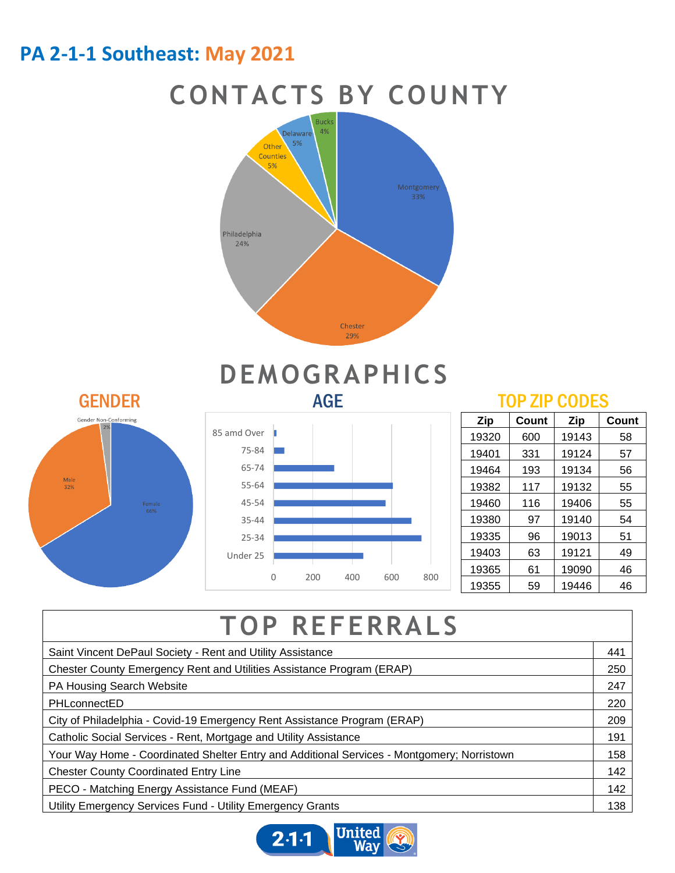## **PA 2-1-1 Southeast: May 2021**

## **CONTACTS BY COUNTY**



# **DEMOGRAPHICS**



### 0 200 400 600 800 Under 25 25-34 35-44 45-54 55-64 65-74 75-84 85 amd Over

| Zip   | Count | Zip   | Count |
|-------|-------|-------|-------|
| 19320 | 600   | 19143 | 58    |
| 19401 | 331   | 19124 | 57    |
| 19464 | 193   | 19134 | 56    |
| 19382 | 117   | 19132 | 55    |
| 19460 | 116   | 19406 | 55    |
| 19380 | 97    | 19140 | 54    |
| 19335 | 96    | 19013 | 51    |
| 19403 | 63    | 19121 | 49    |
| 19365 | 61    | 19090 | 46    |
| 19355 | 59    | 19446 | 46    |

## **TOP REFERRALS**

| Saint Vincent DePaul Society - Rent and Utility Assistance                                 |  |  |
|--------------------------------------------------------------------------------------------|--|--|
| Chester County Emergency Rent and Utilities Assistance Program (ERAP)                      |  |  |
| PA Housing Search Website                                                                  |  |  |
| PHLconnectED                                                                               |  |  |
| City of Philadelphia - Covid-19 Emergency Rent Assistance Program (ERAP)                   |  |  |
| Catholic Social Services - Rent, Mortgage and Utility Assistance                           |  |  |
| Your Way Home - Coordinated Shelter Entry and Additional Services - Montgomery; Norristown |  |  |
| <b>Chester County Coordinated Entry Line</b>                                               |  |  |
| PECO - Matching Energy Assistance Fund (MEAF)                                              |  |  |
| Utility Emergency Services Fund - Utility Emergency Grants                                 |  |  |